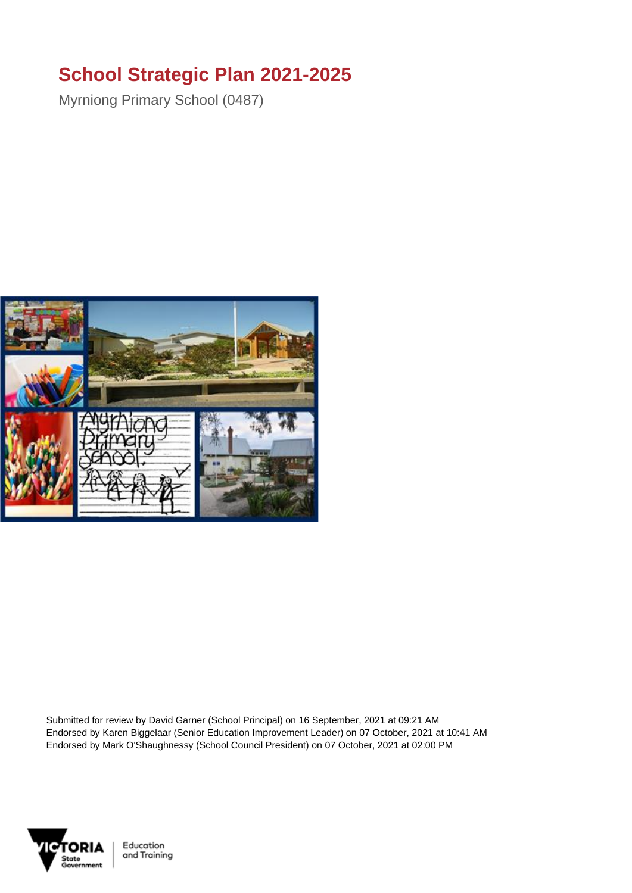## **School Strategic Plan 2021-2025**

Myrniong Primary School (0487)



Submitted for review by David Garner (School Principal) on 16 September, 2021 at 09:21 AM Endorsed by Karen Biggelaar (Senior Education Improvement Leader) on 07 October, 2021 at 10:41 AM Endorsed by Mark O'Shaughnessy (School Council President) on 07 October, 2021 at 02:00 PM



Education and Training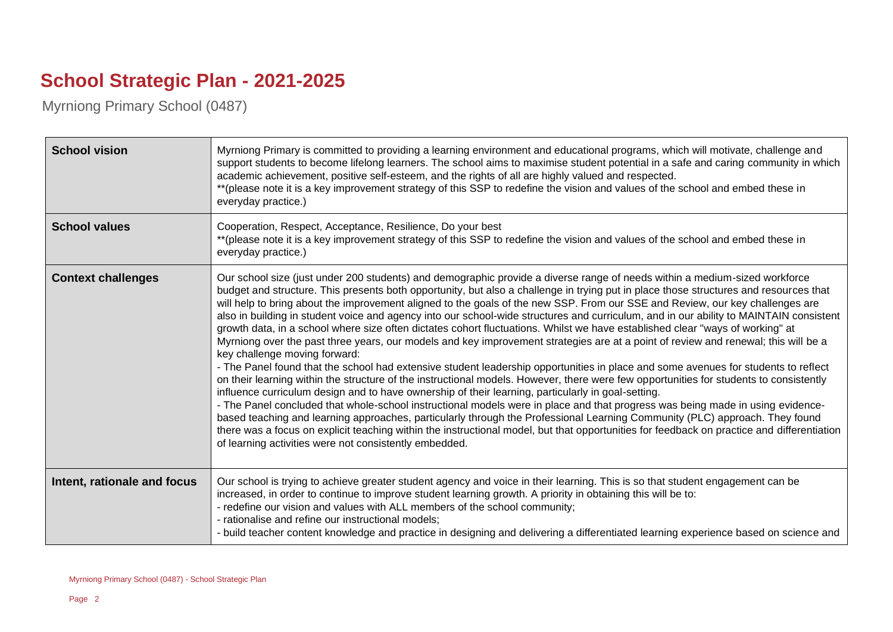## **School Strategic Plan - 2021-2025**

Myrniong Primary School (0487)

| <b>School vision</b>        | Myrniong Primary is committed to providing a learning environment and educational programs, which will motivate, challenge and<br>support students to become lifelong learners. The school aims to maximise student potential in a safe and caring community in which<br>academic achievement, positive self-esteem, and the rights of all are highly valued and respected.<br>**(please note it is a key improvement strategy of this SSP to redefine the vision and values of the school and embed these in<br>everyday practice.)                                                                                                                                                                                                                                                                                                                                                                                                                                                                                                                                                                                                                                                                                                                                                                                                                                                                                                                                                                                                                                                                                                                                                                                  |
|-----------------------------|-----------------------------------------------------------------------------------------------------------------------------------------------------------------------------------------------------------------------------------------------------------------------------------------------------------------------------------------------------------------------------------------------------------------------------------------------------------------------------------------------------------------------------------------------------------------------------------------------------------------------------------------------------------------------------------------------------------------------------------------------------------------------------------------------------------------------------------------------------------------------------------------------------------------------------------------------------------------------------------------------------------------------------------------------------------------------------------------------------------------------------------------------------------------------------------------------------------------------------------------------------------------------------------------------------------------------------------------------------------------------------------------------------------------------------------------------------------------------------------------------------------------------------------------------------------------------------------------------------------------------------------------------------------------------------------------------------------------------|
| <b>School values</b>        | Cooperation, Respect, Acceptance, Resilience, Do your best<br>** (please note it is a key improvement strategy of this SSP to redefine the vision and values of the school and embed these in<br>everyday practice.)                                                                                                                                                                                                                                                                                                                                                                                                                                                                                                                                                                                                                                                                                                                                                                                                                                                                                                                                                                                                                                                                                                                                                                                                                                                                                                                                                                                                                                                                                                  |
| <b>Context challenges</b>   | Our school size (just under 200 students) and demographic provide a diverse range of needs within a medium-sized workforce<br>budget and structure. This presents both opportunity, but also a challenge in trying put in place those structures and resources that<br>will help to bring about the improvement aligned to the goals of the new SSP. From our SSE and Review, our key challenges are<br>also in building in student voice and agency into our school-wide structures and curriculum, and in our ability to MAINTAIN consistent<br>growth data, in a school where size often dictates cohort fluctuations. Whilst we have established clear "ways of working" at<br>Myrniong over the past three years, our models and key improvement strategies are at a point of review and renewal; this will be a<br>key challenge moving forward:<br>- The Panel found that the school had extensive student leadership opportunities in place and some avenues for students to reflect<br>on their learning within the structure of the instructional models. However, there were few opportunities for students to consistently<br>influence curriculum design and to have ownership of their learning, particularly in goal-setting.<br>- The Panel concluded that whole-school instructional models were in place and that progress was being made in using evidence-<br>based teaching and learning approaches, particularly through the Professional Learning Community (PLC) approach. They found<br>there was a focus on explicit teaching within the instructional model, but that opportunities for feedback on practice and differentiation<br>of learning activities were not consistently embedded. |
| Intent, rationale and focus | Our school is trying to achieve greater student agency and voice in their learning. This is so that student engagement can be<br>increased, in order to continue to improve student learning growth. A priority in obtaining this will be to:<br>- redefine our vision and values with ALL members of the school community;<br>- rationalise and refine our instructional models;<br>- build teacher content knowledge and practice in designing and delivering a differentiated learning experience based on science and                                                                                                                                                                                                                                                                                                                                                                                                                                                                                                                                                                                                                                                                                                                                                                                                                                                                                                                                                                                                                                                                                                                                                                                             |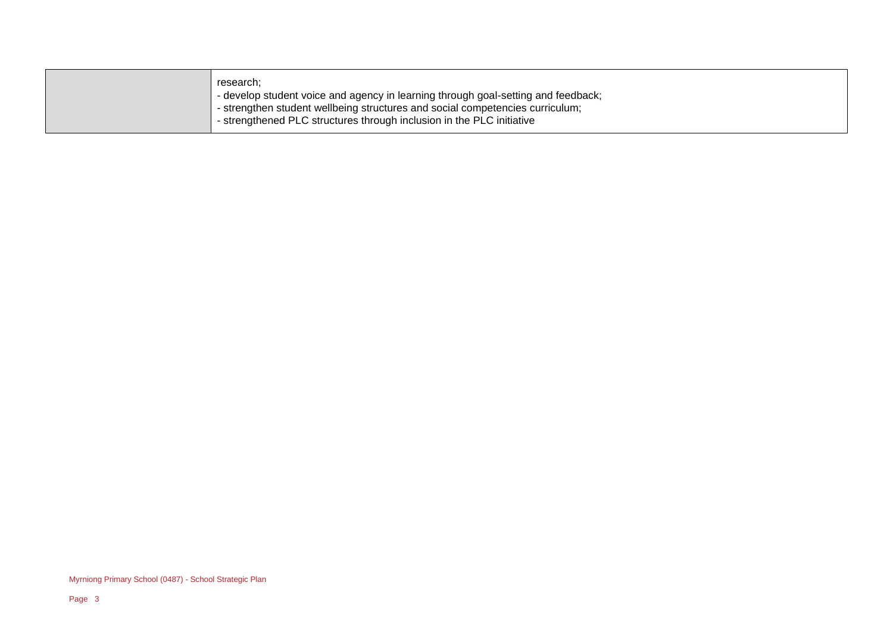|  | research:<br>- develop student voice and agency in learning through goal-setting and feedback; |
|--|------------------------------------------------------------------------------------------------|
|  | - strengthen student wellbeing structures and social competencies curriculum;                  |
|  | - strengthened PLC structures through inclusion in the PLC initiative                          |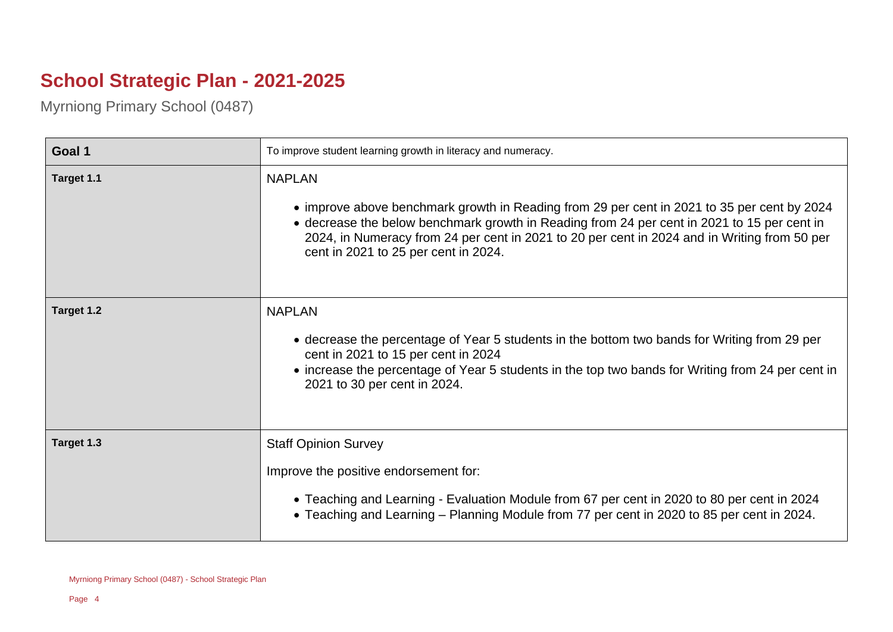## **School Strategic Plan - 2021-2025**

Myrniong Primary School (0487)

| Goal 1     | To improve student learning growth in literacy and numeracy.                                                                                                                                                                                                                                                                                        |
|------------|-----------------------------------------------------------------------------------------------------------------------------------------------------------------------------------------------------------------------------------------------------------------------------------------------------------------------------------------------------|
| Target 1.1 | <b>NAPLAN</b><br>• improve above benchmark growth in Reading from 29 per cent in 2021 to 35 per cent by 2024<br>• decrease the below benchmark growth in Reading from 24 per cent in 2021 to 15 per cent in<br>2024, in Numeracy from 24 per cent in 2021 to 20 per cent in 2024 and in Writing from 50 per<br>cent in 2021 to 25 per cent in 2024. |
| Target 1.2 | <b>NAPLAN</b><br>• decrease the percentage of Year 5 students in the bottom two bands for Writing from 29 per<br>cent in 2021 to 15 per cent in 2024<br>• increase the percentage of Year 5 students in the top two bands for Writing from 24 per cent in<br>2021 to 30 per cent in 2024.                                                           |
| Target 1.3 | <b>Staff Opinion Survey</b><br>Improve the positive endorsement for:<br>• Teaching and Learning - Evaluation Module from 67 per cent in 2020 to 80 per cent in 2024<br>• Teaching and Learning – Planning Module from 77 per cent in 2020 to 85 per cent in 2024.                                                                                   |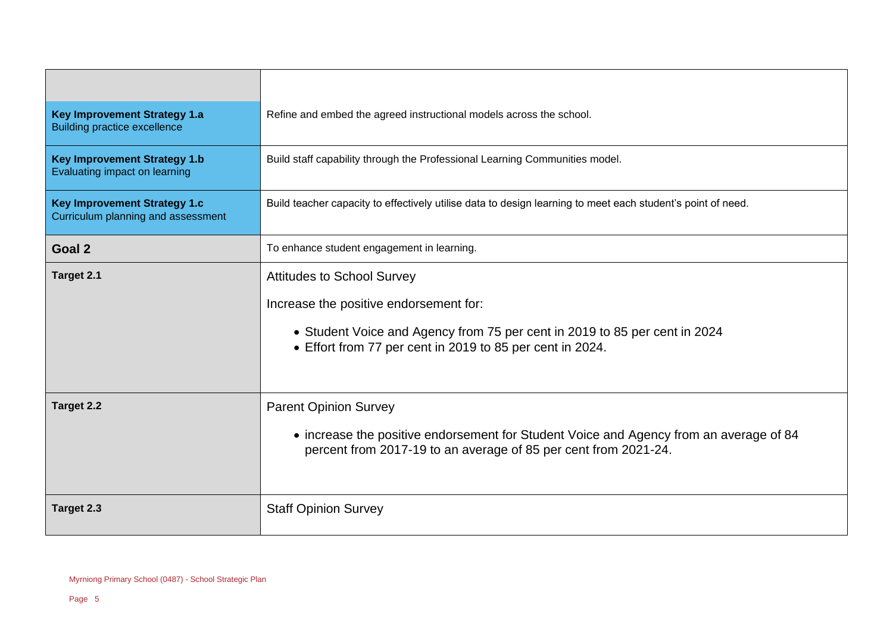| <b>Key Improvement Strategy 1.a</b><br><b>Building practice excellence</b> | Refine and embed the agreed instructional models across the school.                                                                                                                                                    |
|----------------------------------------------------------------------------|------------------------------------------------------------------------------------------------------------------------------------------------------------------------------------------------------------------------|
| <b>Key Improvement Strategy 1.b</b><br>Evaluating impact on learning       | Build staff capability through the Professional Learning Communities model.                                                                                                                                            |
| <b>Key Improvement Strategy 1.c</b><br>Curriculum planning and assessment  | Build teacher capacity to effectively utilise data to design learning to meet each student's point of need.                                                                                                            |
| Goal 2                                                                     | To enhance student engagement in learning.                                                                                                                                                                             |
| Target 2.1                                                                 | <b>Attitudes to School Survey</b><br>Increase the positive endorsement for:<br>• Student Voice and Agency from 75 per cent in 2019 to 85 per cent in 2024<br>• Effort from 77 per cent in 2019 to 85 per cent in 2024. |
| Target 2.2                                                                 | <b>Parent Opinion Survey</b><br>• increase the positive endorsement for Student Voice and Agency from an average of 84<br>percent from 2017-19 to an average of 85 per cent from 2021-24.                              |
| Target 2.3                                                                 | <b>Staff Opinion Survey</b>                                                                                                                                                                                            |

 $\overline{\phantom{a}}$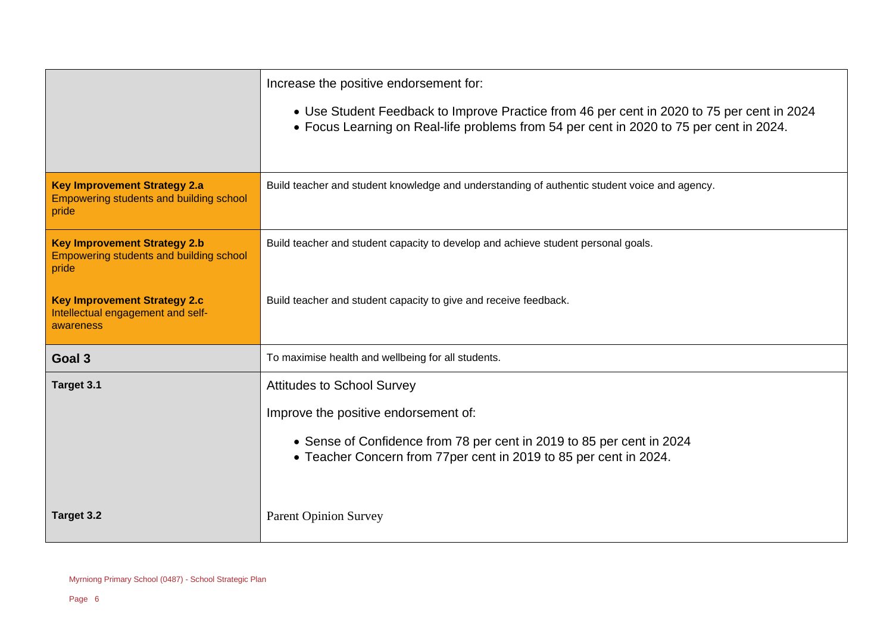|                                                                                         | Increase the positive endorsement for:<br>• Use Student Feedback to Improve Practice from 46 per cent in 2020 to 75 per cent in 2024        |
|-----------------------------------------------------------------------------------------|---------------------------------------------------------------------------------------------------------------------------------------------|
|                                                                                         | • Focus Learning on Real-life problems from 54 per cent in 2020 to 75 per cent in 2024.                                                     |
| <b>Key Improvement Strategy 2.a</b><br>Empowering students and building school<br>pride | Build teacher and student knowledge and understanding of authentic student voice and agency.                                                |
| <b>Key Improvement Strategy 2.b</b><br>Empowering students and building school<br>pride | Build teacher and student capacity to develop and achieve student personal goals.                                                           |
| <b>Key Improvement Strategy 2.c</b><br>Intellectual engagement and self-<br>awareness   | Build teacher and student capacity to give and receive feedback.                                                                            |
| Goal 3                                                                                  | To maximise health and wellbeing for all students.                                                                                          |
| Target 3.1                                                                              | <b>Attitudes to School Survey</b>                                                                                                           |
|                                                                                         | Improve the positive endorsement of:                                                                                                        |
|                                                                                         | • Sense of Confidence from 78 per cent in 2019 to 85 per cent in 2024<br>• Teacher Concern from 77 per cent in 2019 to 85 per cent in 2024. |
| Target 3.2                                                                              | <b>Parent Opinion Survey</b>                                                                                                                |